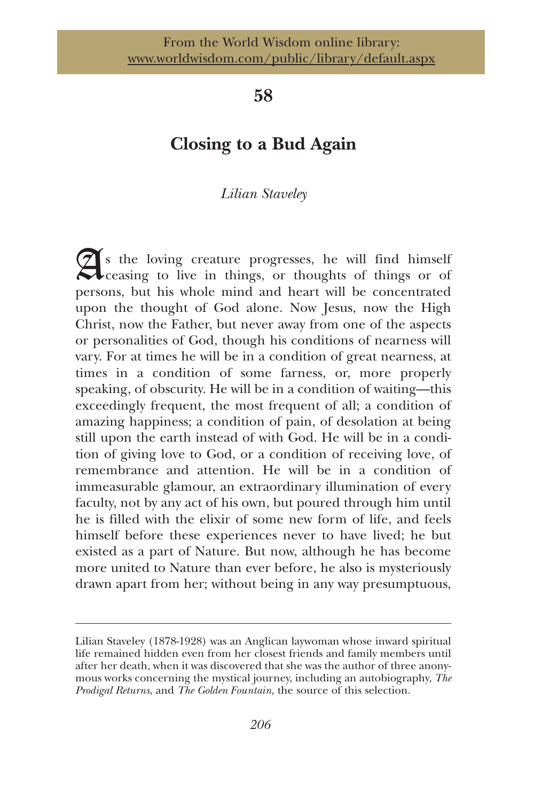## **58**

# **Closing to a Bud Again**

## *Lilian Staveley*

s the loving creature progresses, he will find himself ceasing to live in things, or thoughts of things or of persons, but his whole mind and heart will be concentrated upon the thought of God alone. Now Jesus, now the High Christ, now the Father, but never away from one of the aspects or personalities of God, though his conditions of nearness will vary. For at times he will be in a condition of great nearness, at times in a condition of some farness, or, more properly speaking, of obscurity. He will be in a condition of waiting—this exceedingly frequent, the most frequent of all; a condition of amazing happiness; a condition of pain, of desolation at being still upon the earth instead of with God. He will be in a condition of giving love to God, or a condition of receiving love, of remembrance and attention. He will be in a condition of immeasurable glamour, an extraordinary illumination of every faculty, not by any act of his own, but poured through him until he is filled with the elixir of some new form of life, and feels himself before these experiences never to have lived; he but existed as a part of Nature. But now, although he has become more united to Nature than ever before, he also is mysteriously drawn apart from her; without being in any way presumptuous,

Lilian Staveley (1878-1928) was an Anglican laywoman whose inward spiritual life remained hidden even from her closest friends and family members until after her death, when it was discovered that she was the author of three anonymous works concerning the mystical journey, including an autobiography, *The Prodigal Returns*, and *The Golden Fountain*, the source of this selection.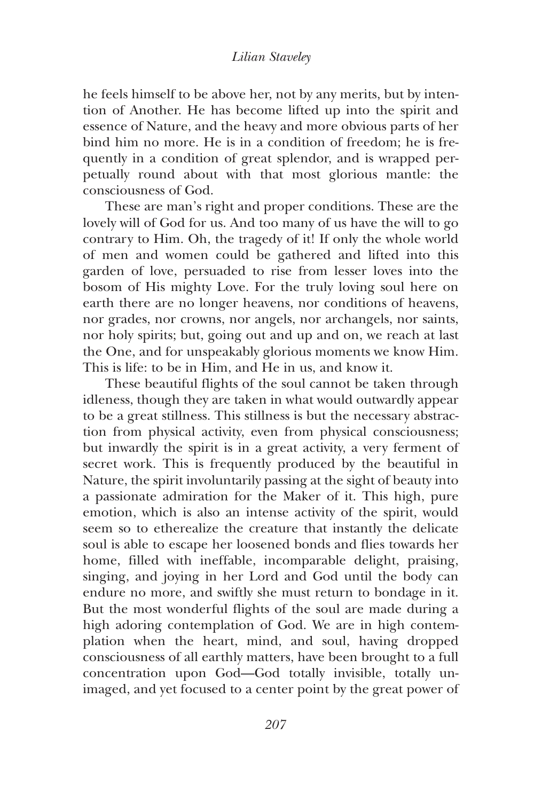#### *Lilian Staveley*

he feels himself to be above her, not by any merits, but by intention of Another. He has become lifted up into the spirit and essence of Nature, and the heavy and more obvious parts of her bind him no more. He is in a condition of freedom; he is frequently in a condition of great splendor, and is wrapped perpetually round about with that most glorious mantle: the consciousness of God.

These are man's right and proper conditions. These are the lovely will of God for us. And too many of us have the will to go contrary to Him. Oh, the tragedy of it! If only the whole world of men and women could be gathered and lifted into this garden of love, persuaded to rise from lesser loves into the bosom of His mighty Love. For the truly loving soul here on earth there are no longer heavens, nor conditions of heavens, nor grades, nor crowns, nor angels, nor archangels, nor saints, nor holy spirits; but, going out and up and on, we reach at last the One, and for unspeakably glorious moments we know Him. This is life: to be in Him, and He in us, and know it.

These beautiful flights of the soul cannot be taken through idleness, though they are taken in what would outwardly appear to be a great stillness. This stillness is but the necessary abstraction from physical activity, even from physical consciousness; but inwardly the spirit is in a great activity, a very ferment of secret work. This is frequently produced by the beautiful in Nature, the spirit involuntarily passing at the sight of beauty into a passionate admiration for the Maker of it. This high, pure emotion, which is also an intense activity of the spirit, would seem so to etherealize the creature that instantly the delicate soul is able to escape her loosened bonds and flies towards her home, filled with ineffable, incomparable delight, praising, singing, and joying in her Lord and God until the body can endure no more, and swiftly she must return to bondage in it. But the most wonderful flights of the soul are made during a high adoring contemplation of God. We are in high contemplation when the heart, mind, and soul, having dropped consciousness of all earthly matters, have been brought to a full concentration upon God—God totally invisible, totally unimaged, and yet focused to a center point by the great power of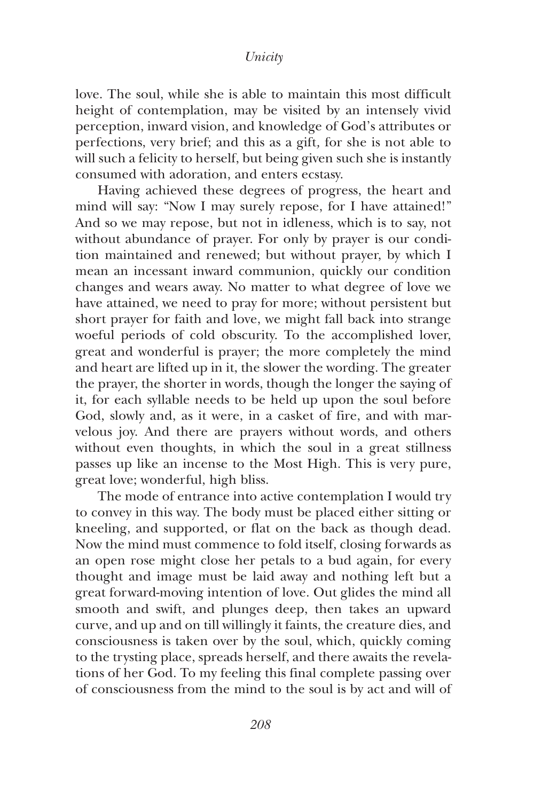#### *Unicity*

love. The soul, while she is able to maintain this most difficult height of contemplation, may be visited by an intensely vivid perception, inward vision, and knowledge of God's attributes or perfections, very brief; and this as a gift*,* for she is not able to will such a felicity to herself, but being given such she is instantly consumed with adoration, and enters ecstasy.

Having achieved these degrees of progress, the heart and mind will say: "Now I may surely repose, for I have attained!" And so we may repose, but not in idleness, which is to say, not without abundance of prayer. For only by prayer is our condition maintained and renewed; but without prayer, by which I mean an incessant inward communion, quickly our condition changes and wears away. No matter to what degree of love we have attained, we need to pray for more; without persistent but short prayer for faith and love, we might fall back into strange woeful periods of cold obscurity. To the accomplished lover, great and wonderful is prayer; the more completely the mind and heart are lifted up in it, the slower the wording. The greater the prayer, the shorter in words, though the longer the saying of it, for each syllable needs to be held up upon the soul before God, slowly and, as it were, in a casket of fire, and with marvelous joy. And there are prayers without words, and others without even thoughts, in which the soul in a great stillness passes up like an incense to the Most High. This is very pure, great love; wonderful, high bliss.

The mode of entrance into active contemplation I would try to convey in this way. The body must be placed either sitting or kneeling, and supported, or flat on the back as though dead. Now the mind must commence to fold itself, closing forwards as an open rose might close her petals to a bud again, for every thought and image must be laid away and nothing left but a great forward-moving intention of love. Out glides the mind all smooth and swift, and plunges deep, then takes an upward curve, and up and on till willingly it faints, the creature dies, and consciousness is taken over by the soul, which, quickly coming to the trysting place, spreads herself, and there awaits the revelations of her God. To my feeling this final complete passing over of consciousness from the mind to the soul is by act and will of